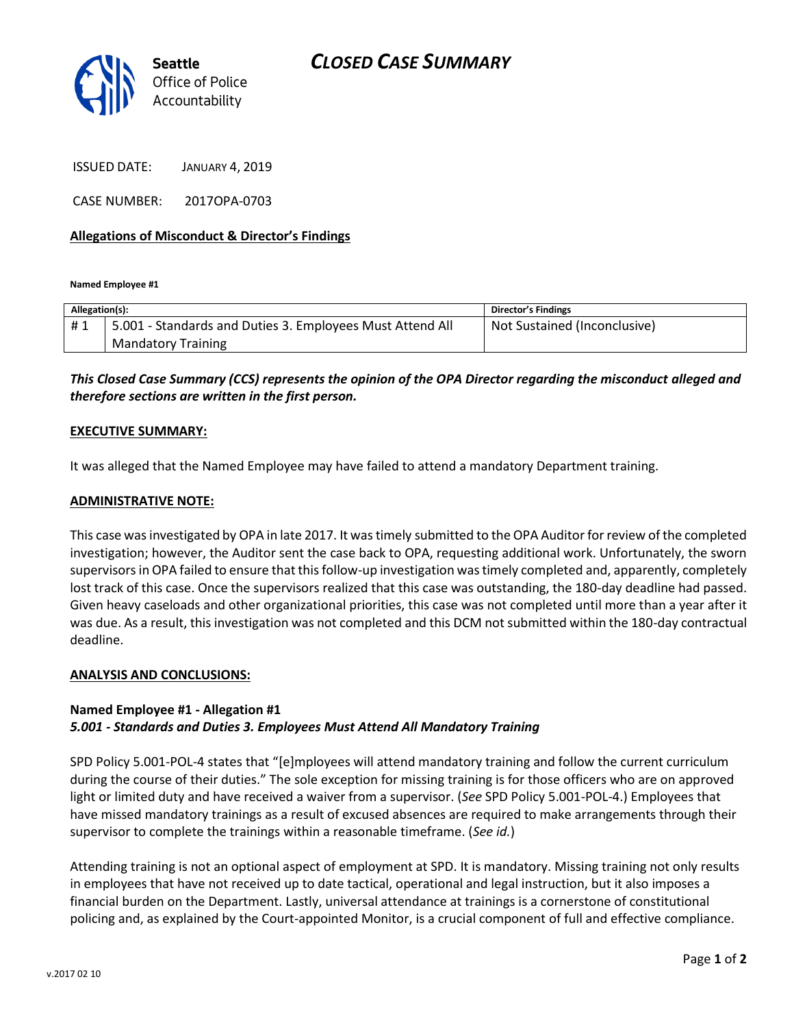

ISSUED DATE: JANUARY 4, 2019

CASE NUMBER: 2017OPA-0703

### **Allegations of Misconduct & Director's Findings**

**Named Employee #1**

| Allegation(s): |                                                           | <b>Director's Findings</b>   |
|----------------|-----------------------------------------------------------|------------------------------|
| #1             | 5.001 - Standards and Duties 3. Employees Must Attend All | Not Sustained (Inconclusive) |
|                | <b>Mandatory Training</b>                                 |                              |

## *This Closed Case Summary (CCS) represents the opinion of the OPA Director regarding the misconduct alleged and therefore sections are written in the first person.*

#### **EXECUTIVE SUMMARY:**

It was alleged that the Named Employee may have failed to attend a mandatory Department training.

#### **ADMINISTRATIVE NOTE:**

This case was investigated by OPA in late 2017. It was timely submitted to the OPA Auditor for review of the completed investigation; however, the Auditor sent the case back to OPA, requesting additional work. Unfortunately, the sworn supervisors in OPA failed to ensure that this follow-up investigation was timely completed and, apparently, completely lost track of this case. Once the supervisors realized that this case was outstanding, the 180-day deadline had passed. Given heavy caseloads and other organizational priorities, this case was not completed until more than a year after it was due. As a result, this investigation was not completed and this DCM not submitted within the 180-day contractual deadline.

#### **ANALYSIS AND CONCLUSIONS:**

#### **Named Employee #1 - Allegation #1** *5.001 - Standards and Duties 3. Employees Must Attend All Mandatory Training*

SPD Policy 5.001-POL-4 states that "[e]mployees will attend mandatory training and follow the current curriculum during the course of their duties." The sole exception for missing training is for those officers who are on approved light or limited duty and have received a waiver from a supervisor. (*See* SPD Policy 5.001-POL-4.) Employees that have missed mandatory trainings as a result of excused absences are required to make arrangements through their supervisor to complete the trainings within a reasonable timeframe. (*See id.*)

Attending training is not an optional aspect of employment at SPD. It is mandatory. Missing training not only results in employees that have not received up to date tactical, operational and legal instruction, but it also imposes a financial burden on the Department. Lastly, universal attendance at trainings is a cornerstone of constitutional policing and, as explained by the Court-appointed Monitor, is a crucial component of full and effective compliance.